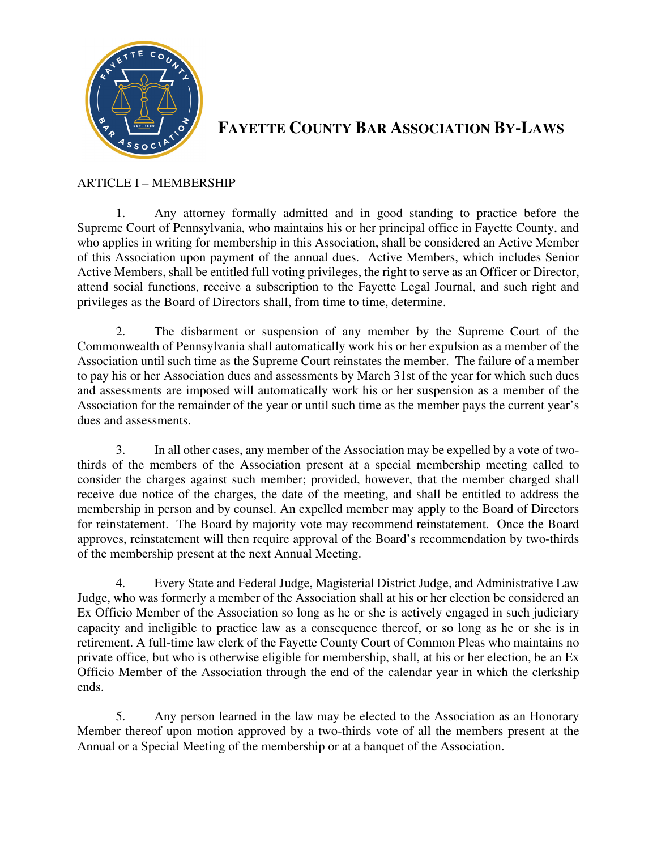

# **FAYETTE COUNTY BAR ASSOCIATION BY-LAWS**

#### ARTICLE I – MEMBERSHIP

1. Any attorney formally admitted and in good standing to practice before the Supreme Court of Pennsylvania, who maintains his or her principal office in Fayette County, and who applies in writing for membership in this Association, shall be considered an Active Member of this Association upon payment of the annual dues. Active Members, which includes Senior Active Members, shall be entitled full voting privileges, the right to serve as an Officer or Director, attend social functions, receive a subscription to the Fayette Legal Journal, and such right and privileges as the Board of Directors shall, from time to time, determine.

2. The disbarment or suspension of any member by the Supreme Court of the Commonwealth of Pennsylvania shall automatically work his or her expulsion as a member of the Association until such time as the Supreme Court reinstates the member. The failure of a member to pay his or her Association dues and assessments by March 31st of the year for which such dues and assessments are imposed will automatically work his or her suspension as a member of the Association for the remainder of the year or until such time as the member pays the current year's dues and assessments.

3. In all other cases, any member of the Association may be expelled by a vote of twothirds of the members of the Association present at a special membership meeting called to consider the charges against such member; provided, however, that the member charged shall receive due notice of the charges, the date of the meeting, and shall be entitled to address the membership in person and by counsel. An expelled member may apply to the Board of Directors for reinstatement. The Board by majority vote may recommend reinstatement. Once the Board approves, reinstatement will then require approval of the Board's recommendation by two-thirds of the membership present at the next Annual Meeting.

4. Every State and Federal Judge, Magisterial District Judge, and Administrative Law Judge, who was formerly a member of the Association shall at his or her election be considered an Ex Officio Member of the Association so long as he or she is actively engaged in such judiciary capacity and ineligible to practice law as a consequence thereof, or so long as he or she is in retirement. A full-time law clerk of the Fayette County Court of Common Pleas who maintains no private office, but who is otherwise eligible for membership, shall, at his or her election, be an Ex Officio Member of the Association through the end of the calendar year in which the clerkship ends.

5. Any person learned in the law may be elected to the Association as an Honorary Member thereof upon motion approved by a two-thirds vote of all the members present at the Annual or a Special Meeting of the membership or at a banquet of the Association.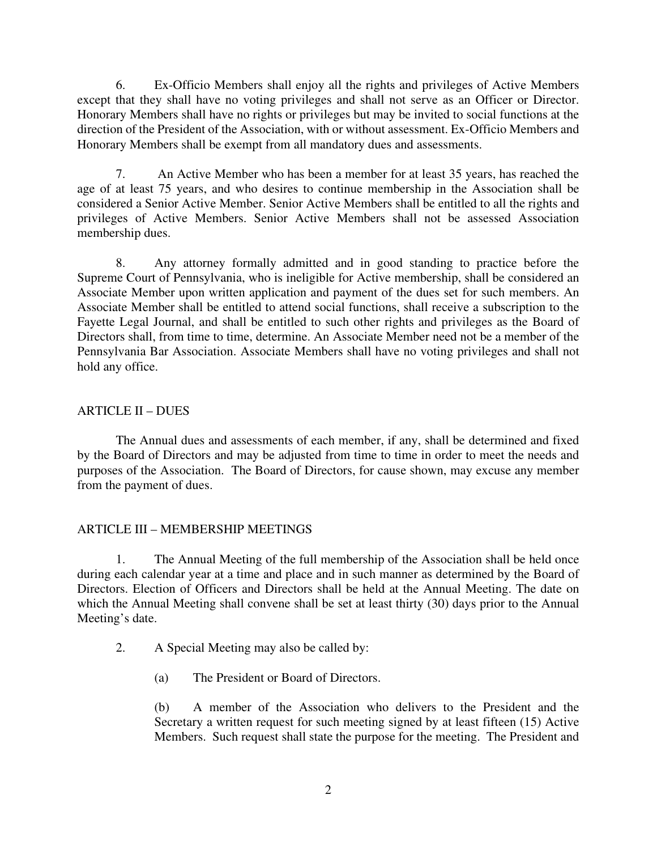6. Ex-Officio Members shall enjoy all the rights and privileges of Active Members except that they shall have no voting privileges and shall not serve as an Officer or Director. Honorary Members shall have no rights or privileges but may be invited to social functions at the direction of the President of the Association, with or without assessment. Ex-Officio Members and Honorary Members shall be exempt from all mandatory dues and assessments.

7. An Active Member who has been a member for at least 35 years, has reached the age of at least 75 years, and who desires to continue membership in the Association shall be considered a Senior Active Member. Senior Active Members shall be entitled to all the rights and privileges of Active Members. Senior Active Members shall not be assessed Association membership dues.

8. Any attorney formally admitted and in good standing to practice before the Supreme Court of Pennsylvania, who is ineligible for Active membership, shall be considered an Associate Member upon written application and payment of the dues set for such members. An Associate Member shall be entitled to attend social functions, shall receive a subscription to the Fayette Legal Journal, and shall be entitled to such other rights and privileges as the Board of Directors shall, from time to time, determine. An Associate Member need not be a member of the Pennsylvania Bar Association. Associate Members shall have no voting privileges and shall not hold any office.

## ARTICLE II – DUES

 The Annual dues and assessments of each member, if any, shall be determined and fixed by the Board of Directors and may be adjusted from time to time in order to meet the needs and purposes of the Association. The Board of Directors, for cause shown, may excuse any member from the payment of dues.

## ARTICLE III – MEMBERSHIP MEETINGS

1. The Annual Meeting of the full membership of the Association shall be held once during each calendar year at a time and place and in such manner as determined by the Board of Directors. Election of Officers and Directors shall be held at the Annual Meeting. The date on which the Annual Meeting shall convene shall be set at least thirty (30) days prior to the Annual Meeting's date.

- 2. A Special Meeting may also be called by:
	- (a) The President or Board of Directors.

(b) A member of the Association who delivers to the President and the Secretary a written request for such meeting signed by at least fifteen (15) Active Members. Such request shall state the purpose for the meeting. The President and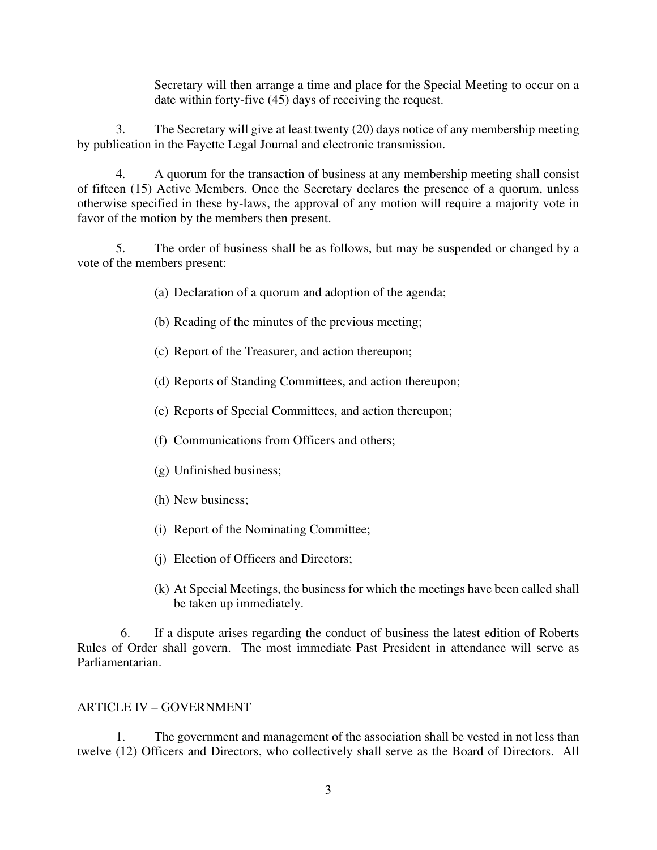Secretary will then arrange a time and place for the Special Meeting to occur on a date within forty-five (45) days of receiving the request.

3. The Secretary will give at least twenty (20) days notice of any membership meeting by publication in the Fayette Legal Journal and electronic transmission.

4. A quorum for the transaction of business at any membership meeting shall consist of fifteen (15) Active Members. Once the Secretary declares the presence of a quorum, unless otherwise specified in these by-laws, the approval of any motion will require a majority vote in favor of the motion by the members then present.

5. The order of business shall be as follows, but may be suspended or changed by a vote of the members present:

(a) Declaration of a quorum and adoption of the agenda;

- (b) Reading of the minutes of the previous meeting;
- (c) Report of the Treasurer, and action thereupon;
- (d) Reports of Standing Committees, and action thereupon;
- (e) Reports of Special Committees, and action thereupon;
- (f) Communications from Officers and others;
- (g) Unfinished business;
- (h) New business;
- (i) Report of the Nominating Committee;
- (j) Election of Officers and Directors;
- (k) At Special Meetings, the business for which the meetings have been called shall be taken up immediately.

6. If a dispute arises regarding the conduct of business the latest edition of Roberts Rules of Order shall govern. The most immediate Past President in attendance will serve as Parliamentarian.

#### ARTICLE IV – GOVERNMENT

 1. The government and management of the association shall be vested in not less than twelve (12) Officers and Directors, who collectively shall serve as the Board of Directors. All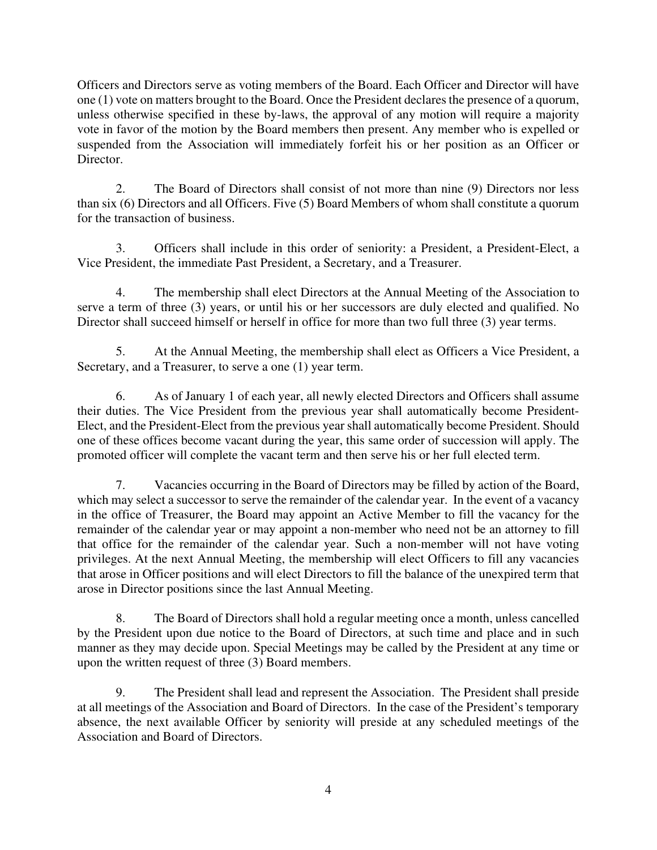Officers and Directors serve as voting members of the Board. Each Officer and Director will have one (1) vote on matters brought to the Board. Once the President declares the presence of a quorum, unless otherwise specified in these by-laws, the approval of any motion will require a majority vote in favor of the motion by the Board members then present. Any member who is expelled or suspended from the Association will immediately forfeit his or her position as an Officer or Director.

 2. The Board of Directors shall consist of not more than nine (9) Directors nor less than six (6) Directors and all Officers. Five (5) Board Members of whom shall constitute a quorum for the transaction of business.

 3. Officers shall include in this order of seniority: a President, a President-Elect, a Vice President, the immediate Past President, a Secretary, and a Treasurer.

 4. The membership shall elect Directors at the Annual Meeting of the Association to serve a term of three (3) years, or until his or her successors are duly elected and qualified. No Director shall succeed himself or herself in office for more than two full three (3) year terms.

 5. At the Annual Meeting, the membership shall elect as Officers a Vice President, a Secretary, and a Treasurer, to serve a one (1) year term.

 6. As of January 1 of each year, all newly elected Directors and Officers shall assume their duties. The Vice President from the previous year shall automatically become President-Elect, and the President-Elect from the previous year shall automatically become President. Should one of these offices become vacant during the year, this same order of succession will apply. The promoted officer will complete the vacant term and then serve his or her full elected term.

 7. Vacancies occurring in the Board of Directors may be filled by action of the Board, which may select a successor to serve the remainder of the calendar year. In the event of a vacancy in the office of Treasurer, the Board may appoint an Active Member to fill the vacancy for the remainder of the calendar year or may appoint a non-member who need not be an attorney to fill that office for the remainder of the calendar year. Such a non-member will not have voting privileges. At the next Annual Meeting, the membership will elect Officers to fill any vacancies that arose in Officer positions and will elect Directors to fill the balance of the unexpired term that arose in Director positions since the last Annual Meeting.

 8. The Board of Directors shall hold a regular meeting once a month, unless cancelled by the President upon due notice to the Board of Directors, at such time and place and in such manner as they may decide upon. Special Meetings may be called by the President at any time or upon the written request of three (3) Board members.

 9. The President shall lead and represent the Association. The President shall preside at all meetings of the Association and Board of Directors. In the case of the President's temporary absence, the next available Officer by seniority will preside at any scheduled meetings of the Association and Board of Directors.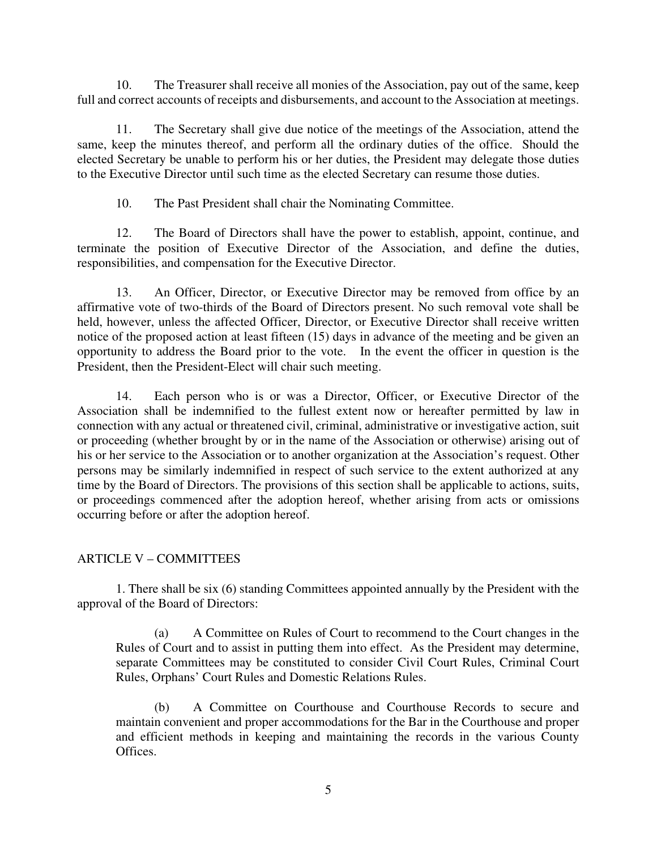10. The Treasurer shall receive all monies of the Association, pay out of the same, keep full and correct accounts of receipts and disbursements, and account to the Association at meetings.

 11. The Secretary shall give due notice of the meetings of the Association, attend the same, keep the minutes thereof, and perform all the ordinary duties of the office. Should the elected Secretary be unable to perform his or her duties, the President may delegate those duties to the Executive Director until such time as the elected Secretary can resume those duties.

10. The Past President shall chair the Nominating Committee.

12. The Board of Directors shall have the power to establish, appoint, continue, and terminate the position of Executive Director of the Association, and define the duties, responsibilities, and compensation for the Executive Director.

13. An Officer, Director, or Executive Director may be removed from office by an affirmative vote of two-thirds of the Board of Directors present. No such removal vote shall be held, however, unless the affected Officer, Director, or Executive Director shall receive written notice of the proposed action at least fifteen (15) days in advance of the meeting and be given an opportunity to address the Board prior to the vote. In the event the officer in question is the President, then the President-Elect will chair such meeting.

14. Each person who is or was a Director, Officer, or Executive Director of the Association shall be indemnified to the fullest extent now or hereafter permitted by law in connection with any actual or threatened civil, criminal, administrative or investigative action, suit or proceeding (whether brought by or in the name of the Association or otherwise) arising out of his or her service to the Association or to another organization at the Association's request. Other persons may be similarly indemnified in respect of such service to the extent authorized at any time by the Board of Directors. The provisions of this section shall be applicable to actions, suits, or proceedings commenced after the adoption hereof, whether arising from acts or omissions occurring before or after the adoption hereof.

## ARTICLE V – COMMITTEES

1. There shall be six (6) standing Committees appointed annually by the President with the approval of the Board of Directors:

(a) A Committee on Rules of Court to recommend to the Court changes in the Rules of Court and to assist in putting them into effect. As the President may determine, separate Committees may be constituted to consider Civil Court Rules, Criminal Court Rules, Orphans' Court Rules and Domestic Relations Rules.

(b) A Committee on Courthouse and Courthouse Records to secure and maintain convenient and proper accommodations for the Bar in the Courthouse and proper and efficient methods in keeping and maintaining the records in the various County Offices.